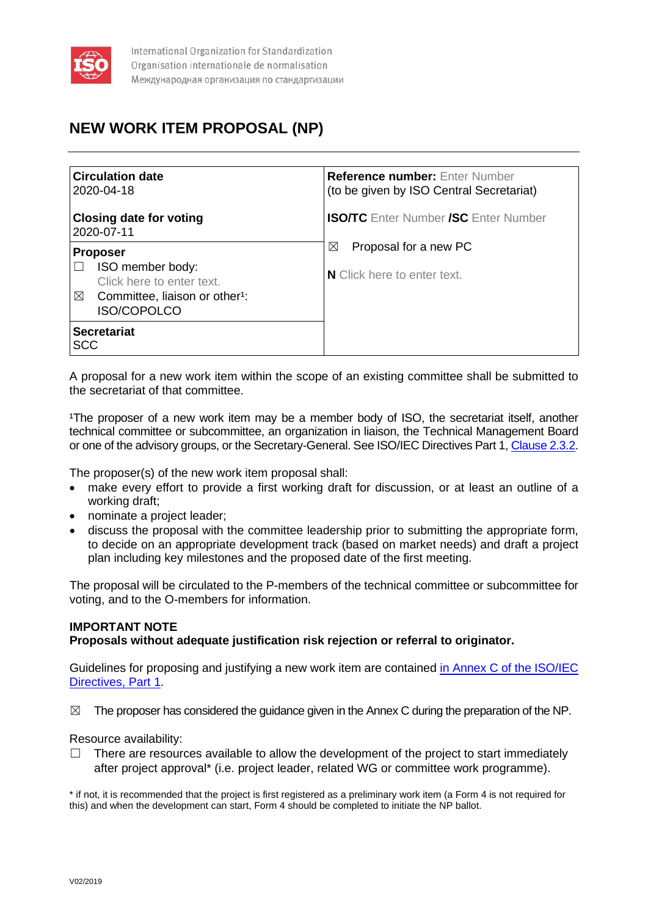

# **NEW WORK ITEM PROPOSAL (NP)**

| <b>Circulation date</b><br>2020-04-18                                 | <b>Reference number:</b> Enter Number<br>(to be given by ISO Central Secretariat) |
|-----------------------------------------------------------------------|-----------------------------------------------------------------------------------|
| <b>Closing date for voting</b><br>2020-07-11                          | <b>ISO/TC</b> Enter Number <b>/SC</b> Enter Number                                |
| <b>Proposer</b>                                                       | Proposal for a new PC<br>$\boxtimes$                                              |
| ISO member body:<br>Click here to enter text.                         | N Click here to enter text.                                                       |
| ⊠<br>Committee, liaison or other <sup>1</sup> :<br><b>ISO/COPOLCO</b> |                                                                                   |
| <b>Secretariat</b><br>SCC                                             |                                                                                   |

A proposal for a new work item within the scope of an existing committee shall be submitted to the secretariat of that committee.

<sup>1</sup>The proposer of a new work item may be a member body of ISO, the secretariat itself, another technical committee or subcommittee, an organization in liaison, the Technical Management Board or one of the advisory groups, or the Secretary-General. See ISO/IEC Directives Part 1[, Clause 2.3.2.](https://www.iso.org/sites/directives/current/part1/index.xhtml#_idTextAnchor138)

The proposer(s) of the new work item proposal shall:

- make every effort to provide a first working draft for discussion, or at least an outline of a working draft;
- nominate a project leader;
- discuss the proposal with the committee leadership prior to submitting the appropriate form, to decide on an appropriate development track (based on market needs) and draft a project plan including key milestones and the proposed date of the first meeting.

The proposal will be circulated to the P-members of the technical committee or subcommittee for voting, and to the O-members for information.

# **IMPORTANT NOTE**

**Proposals without adequate justification risk rejection or referral to originator.**

Guidelines for proposing and justifying a new work item are contained in Annex C of the ISO/IEC [Directives, Part 1.](http://isotc.iso.org/livelink/livelink?func=ll&objId=4230452&objAction=browse&sort=subtype)

 $\boxtimes$  The proposer has considered the guidance given in the Annex C during the preparation of the NP.

Resource availability:

 $\Box$  There are resources available to allow the development of the project to start immediately after project approval\* (i.e. project leader, related WG or committee work programme).

\* if not, it is recommended that the project is first registered as a preliminary work item (a Form 4 is not required for this) and when the development can start, Form 4 should be completed to initiate the NP ballot.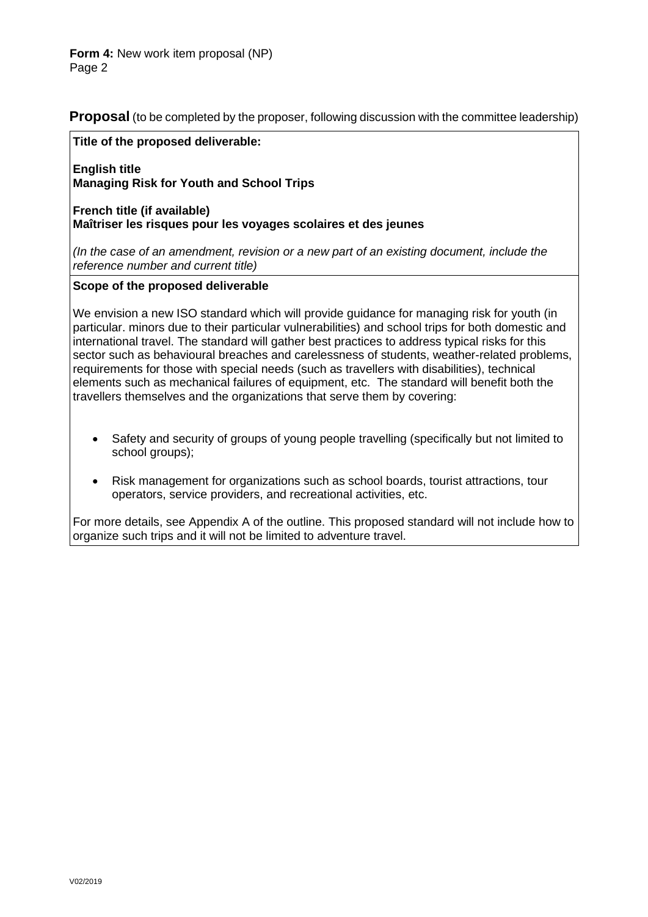**Proposal** (to be completed by the proposer, following discussion with the committee leadership)

### **Title of the proposed deliverable:**

**English title Managing Risk for Youth and School Trips**

**French title (if available) Maîtriser les risques pour les voyages scolaires et des jeunes**

*(In the case of an amendment, revision or a new part of an existing document, include the reference number and current title)*

### **Scope of the proposed deliverable**

We envision a new ISO standard which will provide guidance for managing risk for youth (in particular. minors due to their particular vulnerabilities) and school trips for both domestic and international travel. The standard will gather best practices to address typical risks for this sector such as behavioural breaches and carelessness of students, weather-related problems, requirements for those with special needs (such as travellers with disabilities), technical elements such as mechanical failures of equipment, etc. The standard will benefit both the travellers themselves and the organizations that serve them by covering:

- Safety and security of groups of young people travelling (specifically but not limited to school groups);
- Risk management for organizations such as school boards, tourist attractions, tour operators, service providers, and recreational activities, etc.

For more details, see Appendix A of the outline. This proposed standard will not include how to organize such trips and it will not be limited to adventure travel.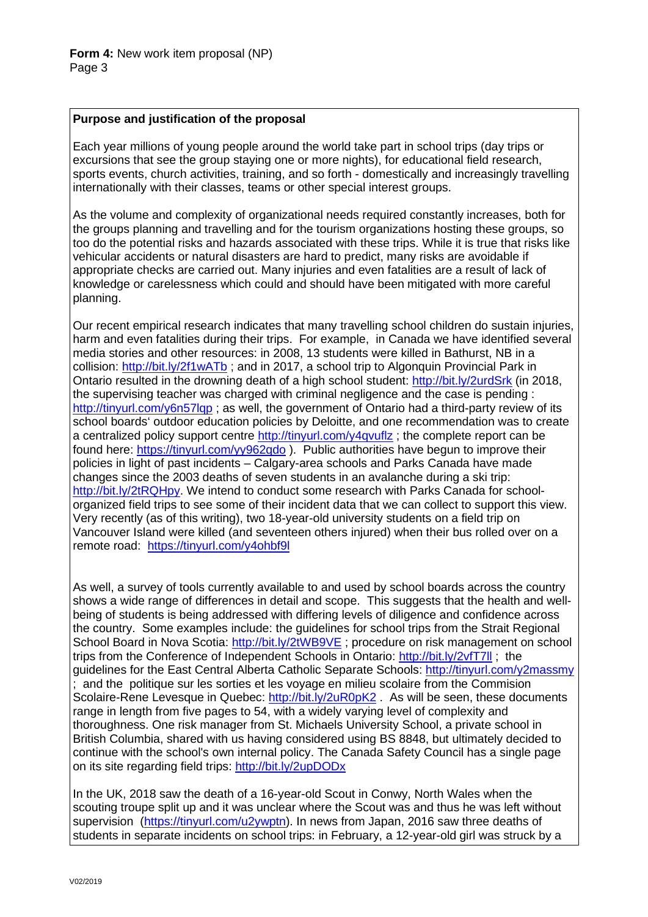### **Purpose and justification of the proposal**

Each year millions of young people around the world take part in school trips (day trips or excursions that see the group staying one or more nights), for educational field research, sports events, church activities, training, and so forth - domestically and increasingly travelling internationally with their classes, teams or other special interest groups.

As the volume and complexity of organizational needs required constantly increases, both for the groups planning and travelling and for the tourism organizations hosting these groups, so too do the potential risks and hazards associated with these trips. While it is true that risks like vehicular accidents or natural disasters are hard to predict, many risks are avoidable if appropriate checks are carried out. Many injuries and even fatalities are a result of lack of knowledge or carelessness which could and should have been mitigated with more careful planning.

Our recent empirical research indicates that many travelling school children do sustain injuries, harm and even fatalities during their trips. For example, in Canada we have identified several media stories and other resources: in 2008, 13 students were killed in Bathurst, NB in a collision:<http://bit.ly/2f1wATb> ; and in 2017, a school trip to Algonquin Provincial Park in Ontario resulted in the drowning death of a high school student:<http://bit.ly/2urdSrk> (in 2018, the supervising teacher was charged with criminal negligence and the case is pending : <http://tinyurl.com/y6n57lqp> ; as well, the government of Ontario had a third-party review of its school boards' outdoor education policies by Deloitte, and one recommendation was to create a centralized policy support centre<http://tinyurl.com/y4qvuflz> ; the complete report can be found here:<https://tinyurl.com/yy962qdo> ). Public authorities have begun to improve their policies in light of past incidents – Calgary-area schools and Parks Canada have made changes since the 2003 deaths of seven students in an avalanche during a ski trip: [http://bit.ly/2tRQHpy.](http://bit.ly/2tRQHpy) We intend to conduct some research with Parks Canada for schoolorganized field trips to see some of their incident data that we can collect to support this view. Very recently (as of this writing), two 18-year-old university students on a field trip on Vancouver Island were killed (and seventeen others injured) when their bus rolled over on a remote road: <https://tinyurl.com/y4ohbf9l>

As well, a survey of tools currently available to and used by school boards across the country shows a wide range of differences in detail and scope. This suggests that the health and wellbeing of students is being addressed with differing levels of diligence and confidence across the country. Some examples include: the guidelines for school trips from the Strait Regional School Board in Nova Scotia:<http://bit.ly/2tWB9VE> ; procedure on risk management on school trips from the Conference of Independent Schools in Ontario:<http://bit.ly/2vfT7ll> ; the guidelines for the East Central Alberta Catholic Separate Schools:<http://tinyurl.com/y2massmy> ; and the politique sur les sorties et les voyage en milieu scolaire from the Commision Scolaire-Rene Levesque in Quebec: <http://bit.ly/2uR0pK2> . As will be seen, these documents range in length from five pages to 54, with a widely varying level of complexity and thoroughness. One risk manager from St. Michaels University School, a private school in British Columbia, shared with us having considered using BS 8848, but ultimately decided to continue with the school's own internal policy. The Canada Safety Council has a single page on its site regarding field trips:<http://bit.ly/2upDODx>

In the UK, 2018 saw the death of a 16-year-old Scout in Conwy, North Wales when the scouting troupe split up and it was unclear where the Scout was and thus he was left without supervision [\(https://tinyurl.com/u2ywptn\)](https://tinyurl.com/u2ywptn). In news from Japan, 2016 saw three deaths of students in separate incidents on school trips: in February, a 12-year-old girl was struck by a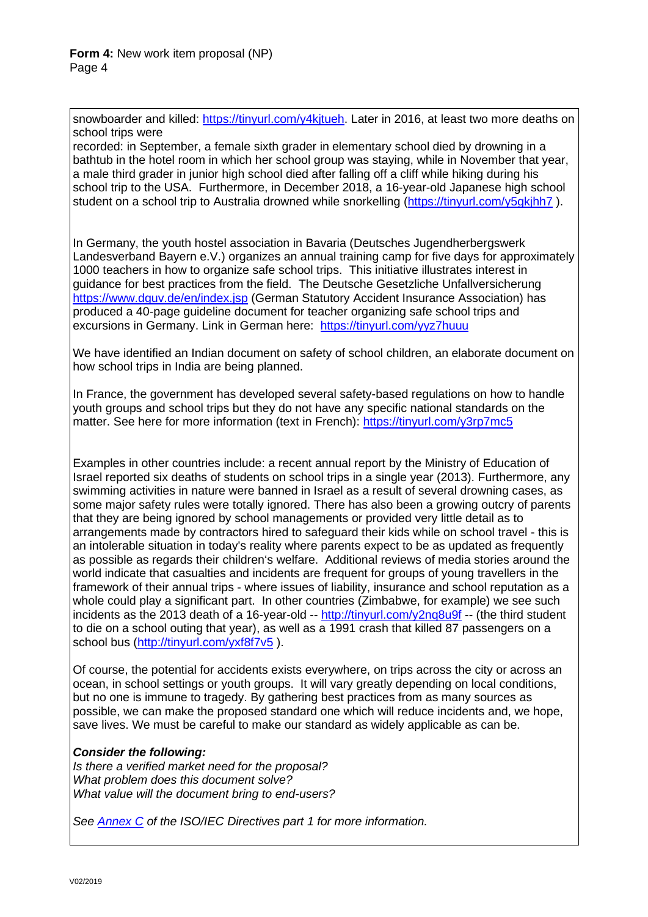snowboarder and killed: [https://tinyurl.com/y4kjtueh.](https://tinyurl.com/y4kjtueh) Later in 2016, at least two more deaths on school trips were

recorded: in September, a female sixth grader in elementary school died by drowning in a bathtub in the hotel room in which her school group was staying, while in November that year, a male third grader in junior high school died after falling off a cliff while hiking during his school trip to the USA. Furthermore, in December 2018, a 16-year-old Japanese high school student on a school trip to Australia drowned while snorkelling (https://tinyurl.com/y5qkjhh7).

In Germany, the youth hostel association in Bavaria (Deutsches Jugendherbergswerk Landesverband Bayern e.V.) organizes an annual training camp for five days for approximately 1000 teachers in how to organize safe school trips. This initiative illustrates interest in guidance for best practices from the field. The Deutsche Gesetzliche Unfallversicherung <https://www.dguv.de/en/index.jsp> (German Statutory Accident Insurance Association) has produced a 40-page guideline document for teacher organizing safe school trips and excursions in Germany. Link in German here: <https://tinyurl.com/yyz7huuu>

We have identified an Indian document on safety of school children, an elaborate document on how school trips in India are being planned.

In France, the government has developed several safety-based regulations on how to handle youth groups and school trips but they do not have any specific national standards on the matter. See here for more information (text in French):<https://tinyurl.com/y3rp7mc5>

Examples in other countries include: a recent annual report by the Ministry of Education of Israel reported six deaths of students on school trips in a single year (2013). Furthermore, any swimming activities in nature were banned in Israel as a result of several drowning cases, as some major safety rules were totally ignored. There has also been a growing outcry of parents that they are being ignored by school managements or provided very little detail as to arrangements made by contractors hired to safeguard their kids while on school travel - this is an intolerable situation in today's reality where parents expect to be as updated as frequently as possible as regards their children's welfare. Additional reviews of media stories around the world indicate that casualties and incidents are frequent for groups of young travellers in the framework of their annual trips - where issues of liability, insurance and school reputation as a whole could play a significant part. In other countries (Zimbabwe, for example) we see such incidents as the 2013 death of a 16-year-old -- <http://tinyurl.com/y2nq8u9f> -- (the third student to die on a school outing that year), as well as a 1991 crash that killed 87 passengers on a school bus [\(http://tinyurl.com/yxf8f7v5](http://tinyurl.com/yxf8f7v5)).

Of course, the potential for accidents exists everywhere, on trips across the city or across an ocean, in school settings or youth groups. It will vary greatly depending on local conditions, but no one is immune to tragedy. By gathering best practices from as many sources as possible, we can make the proposed standard one which will reduce incidents and, we hope, save lives. We must be careful to make our standard as widely applicable as can be.

# *Consider the following:*

*Is there a verified market need for the proposal? What problem does this document solve? What value will the document bring to end-users?*

*See [Annex C](https://www.iso.org/sites/directives/current/part1/index.xhtml#_idTextAnchor310) of the ISO/IEC Directives part 1 for more information.*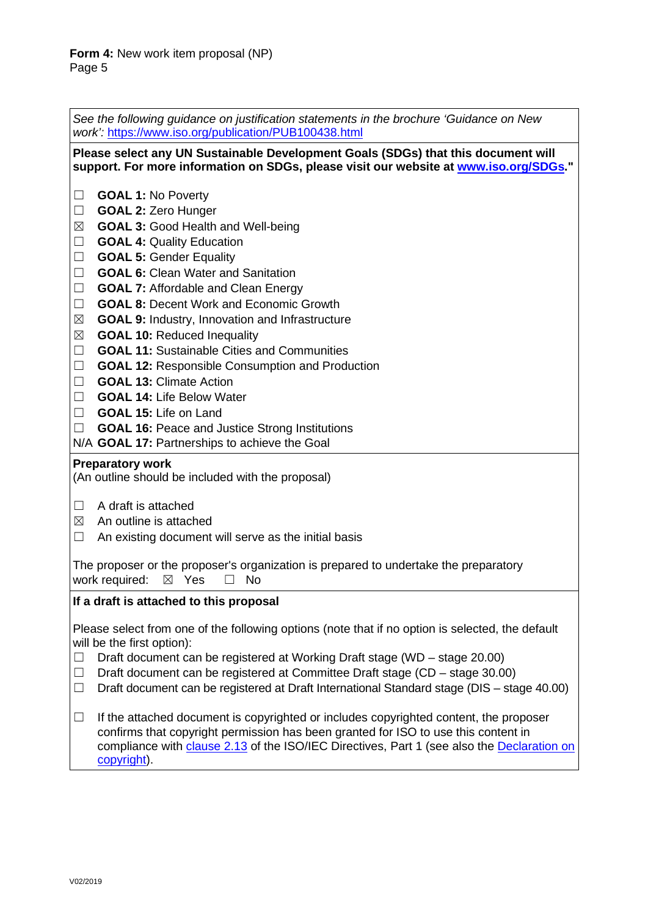| See the following guidance on justification statements in the brochure 'Guidance on New<br>work': https://www.iso.org/publication/PUB100438.html                                                                                                                                                                                                                                                                                                                                                                                                                                                                                                                                                                                                                                                                                                                                                                                         |  |  |  |  |
|------------------------------------------------------------------------------------------------------------------------------------------------------------------------------------------------------------------------------------------------------------------------------------------------------------------------------------------------------------------------------------------------------------------------------------------------------------------------------------------------------------------------------------------------------------------------------------------------------------------------------------------------------------------------------------------------------------------------------------------------------------------------------------------------------------------------------------------------------------------------------------------------------------------------------------------|--|--|--|--|
| Please select any UN Sustainable Development Goals (SDGs) that this document will<br>support. For more information on SDGs, please visit our website at www.iso.org/SDGs."                                                                                                                                                                                                                                                                                                                                                                                                                                                                                                                                                                                                                                                                                                                                                               |  |  |  |  |
| <b>GOAL 1: No Poverty</b><br>$\sqcup$<br><b>GOAL 2: Zero Hunger</b><br>$\Box$<br><b>GOAL 3: Good Health and Well-being</b><br>$\boxtimes$<br><b>GOAL 4: Quality Education</b><br>$\Box$<br><b>GOAL 5: Gender Equality</b><br>$\Box$<br><b>GOAL 6: Clean Water and Sanitation</b><br>$\Box$<br>$\Box$<br><b>GOAL 7: Affordable and Clean Energy</b><br><b>GOAL 8: Decent Work and Economic Growth</b><br>$\Box$<br>$\boxtimes$<br><b>GOAL 9: Industry, Innovation and Infrastructure</b><br>$\boxtimes$<br><b>GOAL 10: Reduced Inequality</b><br><b>GOAL 11: Sustainable Cities and Communities</b><br>$\Box$<br>$\Box$<br><b>GOAL 12: Responsible Consumption and Production</b><br><b>GOAL 13: Climate Action</b><br>$\Box$<br><b>GOAL 14: Life Below Water</b><br>$\Box$<br><b>GOAL 15: Life on Land</b><br>$\Box$<br><b>GOAL 16: Peace and Justice Strong Institutions</b><br>$\Box$<br>N/A GOAL 17: Partnerships to achieve the Goal |  |  |  |  |
| <b>Preparatory work</b><br>(An outline should be included with the proposal)                                                                                                                                                                                                                                                                                                                                                                                                                                                                                                                                                                                                                                                                                                                                                                                                                                                             |  |  |  |  |
| A draft is attached<br>⊔<br>An outline is attached<br>$\boxtimes$<br>An existing document will serve as the initial basis<br>$\Box$<br>The proposer or the proposer's organization is prepared to undertake the preparatory<br>work required:<br>$\boxtimes$ Yes<br>No<br>$\vert \ \ \vert$                                                                                                                                                                                                                                                                                                                                                                                                                                                                                                                                                                                                                                              |  |  |  |  |
| If a draft is attached to this proposal                                                                                                                                                                                                                                                                                                                                                                                                                                                                                                                                                                                                                                                                                                                                                                                                                                                                                                  |  |  |  |  |
| Please select from one of the following options (note that if no option is selected, the default<br>will be the first option):<br>Draft document can be registered at Working Draft stage (WD - stage 20.00)<br>$\Box$<br>Draft document can be registered at Committee Draft stage (CD - stage 30.00)<br>$\Box$<br>Draft document can be registered at Draft International Standard stage (DIS - stage 40.00)<br>$\Box$                                                                                                                                                                                                                                                                                                                                                                                                                                                                                                                 |  |  |  |  |
| If the attached document is copyrighted or includes copyrighted content, the proposer<br>$\Box$<br>confirms that copyright permission has been granted for ISO to use this content in<br>compliance with clause 2.13 of the ISO/IEC Directives, Part 1 (see also the Declaration on<br>copyright).                                                                                                                                                                                                                                                                                                                                                                                                                                                                                                                                                                                                                                       |  |  |  |  |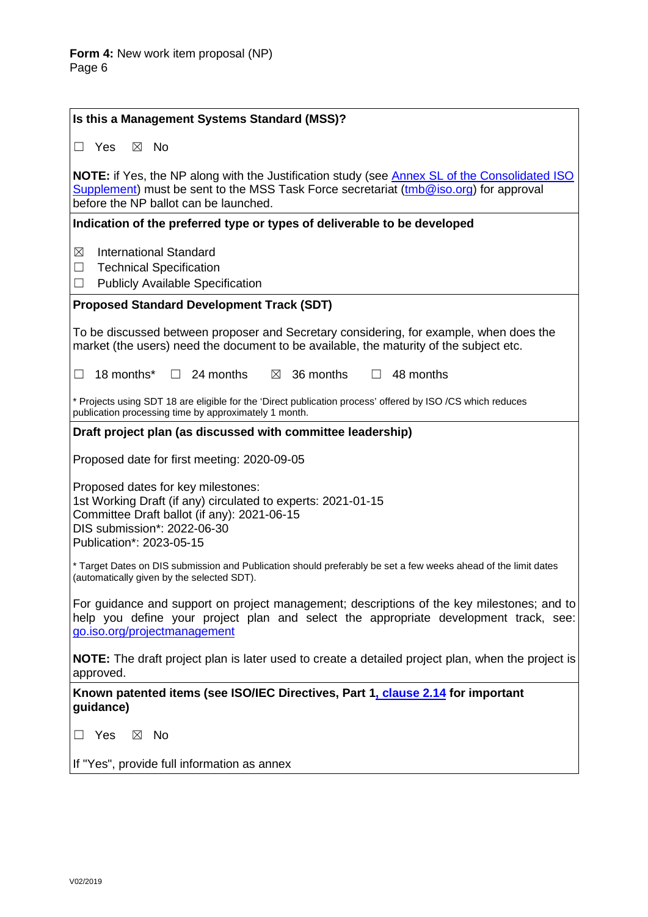| Is this a Management Systems Standard (MSS)?                                                                                                                                                                                           |  |  |  |
|----------------------------------------------------------------------------------------------------------------------------------------------------------------------------------------------------------------------------------------|--|--|--|
| $\Box$ Yes<br>$\boxtimes$ No                                                                                                                                                                                                           |  |  |  |
| <b>NOTE:</b> if Yes, the NP along with the Justification study (see Annex SL of the Consolidated ISO<br>Supplement) must be sent to the MSS Task Force secretariat (tmb@iso.org) for approval<br>before the NP ballot can be launched. |  |  |  |
| Indication of the preferred type or types of deliverable to be developed                                                                                                                                                               |  |  |  |
| <b>International Standard</b><br>$\boxtimes$<br><b>Technical Specification</b><br>$\Box$<br><b>Publicly Available Specification</b><br>$\Box$                                                                                          |  |  |  |
| <b>Proposed Standard Development Track (SDT)</b>                                                                                                                                                                                       |  |  |  |
| To be discussed between proposer and Secretary considering, for example, when does the<br>market (the users) need the document to be available, the maturity of the subject etc.                                                       |  |  |  |
| 18 months*<br>$\Box$ 24 months<br>$\boxtimes$ 36 months<br>$\Box$ 48 months<br>$\Box$                                                                                                                                                  |  |  |  |
| * Projects using SDT 18 are eligible for the 'Direct publication process' offered by ISO /CS which reduces<br>publication processing time by approximately 1 month.                                                                    |  |  |  |
| Draft project plan (as discussed with committee leadership)                                                                                                                                                                            |  |  |  |
| Proposed date for first meeting: 2020-09-05                                                                                                                                                                                            |  |  |  |
| Proposed dates for key milestones:<br>1st Working Draft (if any) circulated to experts: 2021-01-15<br>Committee Draft ballot (if any): 2021-06-15<br>DIS submission*: 2022-06-30<br>Publication*: 2023-05-15                           |  |  |  |
| * Target Dates on DIS submission and Publication should preferably be set a few weeks ahead of the limit dates<br>(automatically given by the selected SDT).                                                                           |  |  |  |
| For guidance and support on project management; descriptions of the key milestones; and to<br>help you define your project plan and select the appropriate development track, see:<br>go.iso.org/projectmanagement                     |  |  |  |
| <b>NOTE:</b> The draft project plan is later used to create a detailed project plan, when the project is<br>approved.                                                                                                                  |  |  |  |
| Known patented items (see ISO/IEC Directives, Part 1, clause 2.14 for important<br>guidance)                                                                                                                                           |  |  |  |
| Yes<br>$\boxtimes$ No                                                                                                                                                                                                                  |  |  |  |
| If "Yes", provide full information as annex                                                                                                                                                                                            |  |  |  |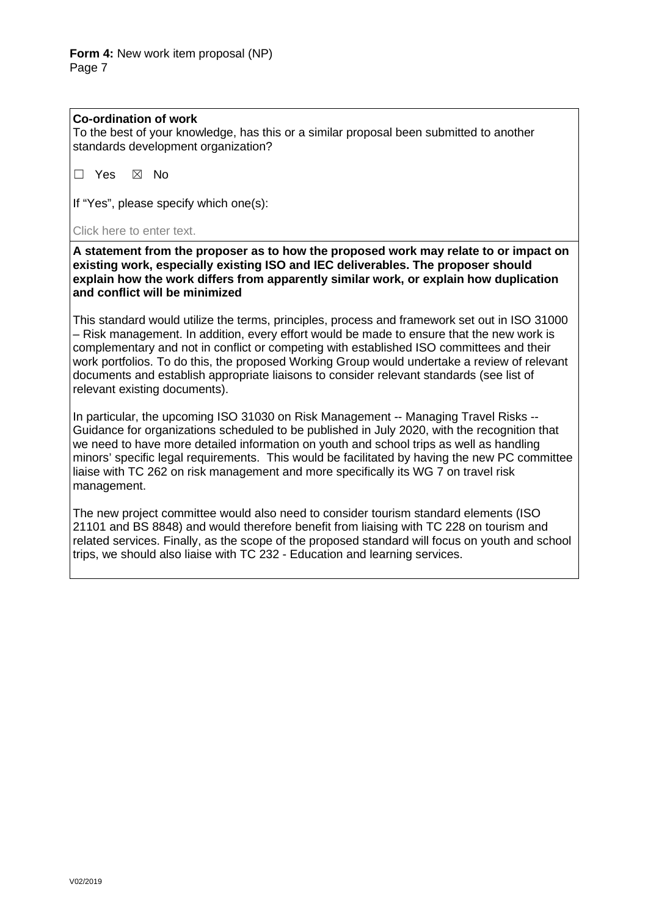### **Co-ordination of work**

To the best of your knowledge, has this or a similar proposal been submitted to another standards development organization?

☐ Yes ☒ No

If "Yes", please specify which one(s):

Click here to enter text.

**A statement from the proposer as to how the proposed work may relate to or impact on existing work, especially existing ISO and IEC deliverables. The proposer should explain how the work differs from apparently similar work, or explain how duplication and conflict will be minimized**

This standard would utilize the terms, principles, process and framework set out in ISO 31000 – Risk management. In addition, every effort would be made to ensure that the new work is complementary and not in conflict or competing with established ISO committees and their work portfolios. To do this, the proposed Working Group would undertake a review of relevant documents and establish appropriate liaisons to consider relevant standards (see list of relevant existing documents).

In particular, the upcoming ISO 31030 on Risk Management -- Managing Travel Risks -- Guidance for organizations scheduled to be published in July 2020, with the recognition that we need to have more detailed information on youth and school trips as well as handling minors' specific legal requirements. This would be facilitated by having the new PC committee liaise with TC 262 on risk management and more specifically its WG 7 on travel risk management.

The new project committee would also need to consider tourism standard elements (ISO 21101 and BS 8848) and would therefore benefit from liaising with TC 228 on tourism and related services. Finally, as the scope of the proposed standard will focus on youth and school trips, we should also liaise with TC 232 - Education and learning services.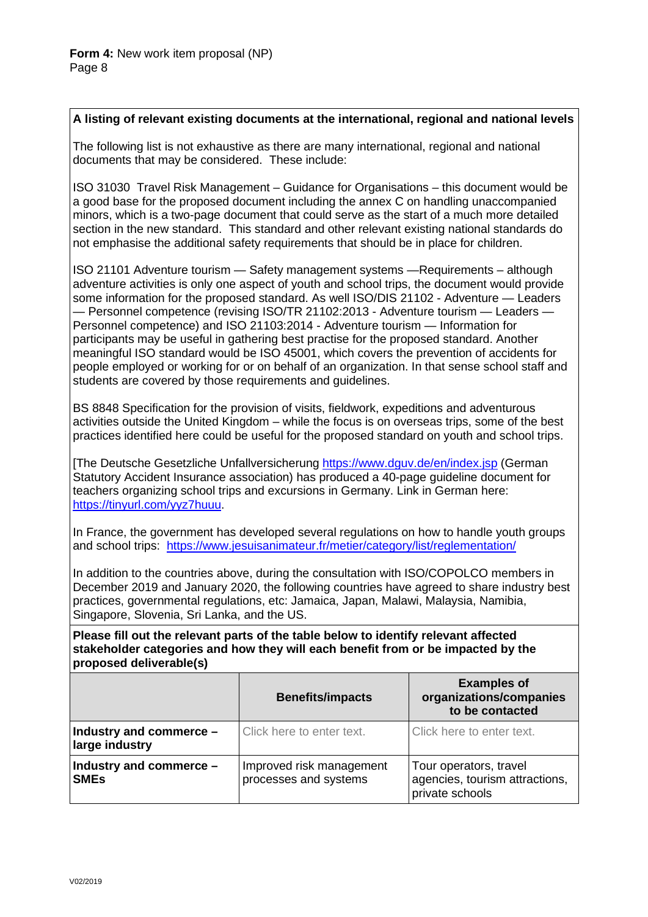# **A listing of relevant existing documents at the international, regional and national levels**

The following list is not exhaustive as there are many international, regional and national documents that may be considered. These include:

ISO 31030 Travel Risk Management – Guidance for Organisations – this document would be a good base for the proposed document including the annex C on handling unaccompanied minors, which is a two-page document that could serve as the start of a much more detailed section in the new standard. This standard and other relevant existing national standards do not emphasise the additional safety requirements that should be in place for children.

ISO 21101 Adventure tourism — Safety management systems —Requirements – although adventure activities is only one aspect of youth and school trips, the document would provide some information for the proposed standard. As well ISO/DIS 21102 - Adventure — Leaders — Personnel competence (revising ISO/TR 21102:2013 - Adventure tourism — Leaders — Personnel competence) and ISO 21103:2014 - Adventure tourism — Information for participants may be useful in gathering best practise for the proposed standard. Another meaningful ISO standard would be ISO 45001, which covers the prevention of accidents for people employed or working for or on behalf of an organization. In that sense school staff and students are covered by those requirements and guidelines.

BS 8848 Specification for the provision of visits, fieldwork, expeditions and adventurous activities outside the United Kingdom – while the focus is on overseas trips, some of the best practices identified here could be useful for the proposed standard on youth and school trips.

[The Deutsche Gesetzliche Unfallversicherung <https://www.dguv.de/en/index.jsp> (German Statutory Accident Insurance association) has produced a 40-page guideline document for teachers organizing school trips and excursions in Germany. Link in German here: [https://tinyurl.com/yyz7huuu.](https://tinyurl.com/yyz7huuu)

In France, the government has developed several regulations on how to handle youth groups and school trips: <https://www.jesuisanimateur.fr/metier/category/list/reglementation/>

In addition to the countries above, during the consultation with ISO/COPOLCO members in December 2019 and January 2020, the following countries have agreed to share industry best practices, governmental regulations, etc: Jamaica, Japan, Malawi, Malaysia, Namibia, Singapore, Slovenia, Sri Lanka, and the US.

**Please fill out the relevant parts of the table below to identify relevant affected stakeholder categories and how they will each benefit from or be impacted by the proposed deliverable(s)**

|                                           | <b>Benefits/impacts</b>                           | <b>Examples of</b><br>organizations/companies<br>to be contacted            |
|-------------------------------------------|---------------------------------------------------|-----------------------------------------------------------------------------|
| Industry and commerce -<br>large industry | Click here to enter text.                         | Click here to enter text.                                                   |
| Industry and commerce -<br><b>SMEs</b>    | Improved risk management<br>processes and systems | Tour operators, travel<br>agencies, tourism attractions,<br>private schools |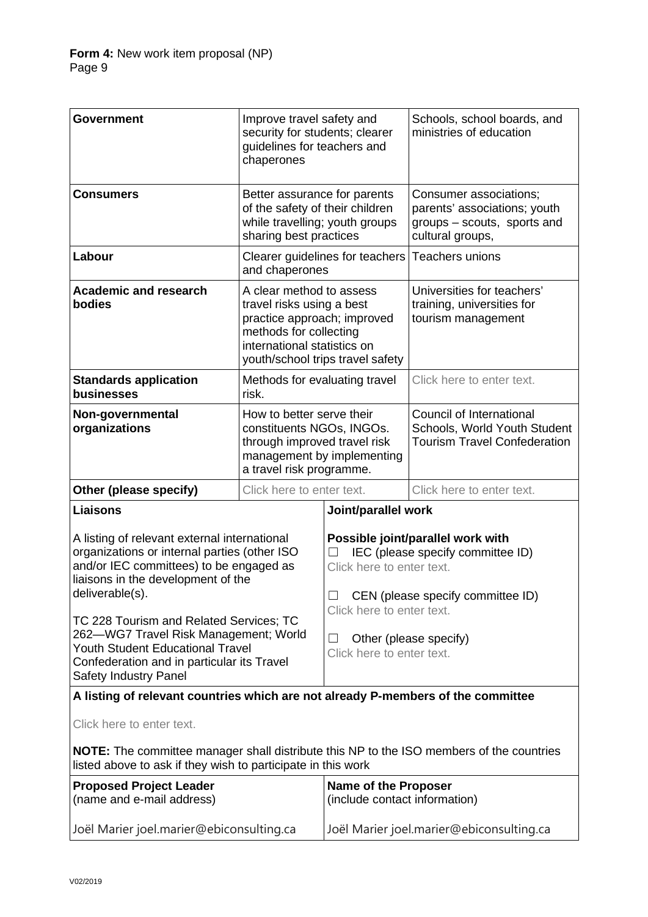| <b>Government</b>                                                                                                                                                                                         | Improve travel safety and<br>security for students; clearer<br>guidelines for teachers and<br>chaperones                                                                          |                                                                                                                                                                              | Schools, school boards, and<br>ministries of education                                                    |  |
|-----------------------------------------------------------------------------------------------------------------------------------------------------------------------------------------------------------|-----------------------------------------------------------------------------------------------------------------------------------------------------------------------------------|------------------------------------------------------------------------------------------------------------------------------------------------------------------------------|-----------------------------------------------------------------------------------------------------------|--|
| <b>Consumers</b>                                                                                                                                                                                          | Better assurance for parents<br>of the safety of their children<br>while travelling; youth groups<br>sharing best practices                                                       |                                                                                                                                                                              | Consumer associations;<br>parents' associations; youth<br>groups - scouts, sports and<br>cultural groups, |  |
| Labour                                                                                                                                                                                                    | Clearer guidelines for teachers<br>and chaperones                                                                                                                                 |                                                                                                                                                                              | <b>Teachers unions</b>                                                                                    |  |
| <b>Academic and research</b><br>bodies                                                                                                                                                                    | A clear method to assess<br>travel risks using a best<br>practice approach; improved<br>methods for collecting<br>international statistics on<br>youth/school trips travel safety |                                                                                                                                                                              | Universities for teachers'<br>training, universities for<br>tourism management                            |  |
| <b>Standards application</b><br>businesses                                                                                                                                                                | Methods for evaluating travel<br>risk.                                                                                                                                            |                                                                                                                                                                              | Click here to enter text.                                                                                 |  |
| Non-governmental<br>organizations                                                                                                                                                                         | How to better serve their<br>constituents NGOs, INGOs.<br>through improved travel risk<br>management by implementing<br>a travel risk programme.                                  |                                                                                                                                                                              | Council of International<br>Schools, World Youth Student<br><b>Tourism Travel Confederation</b>           |  |
| Other (please specify)                                                                                                                                                                                    | Click here to enter text.                                                                                                                                                         |                                                                                                                                                                              | Click here to enter text.                                                                                 |  |
| <b>Liaisons</b>                                                                                                                                                                                           |                                                                                                                                                                                   | Joint/parallel work                                                                                                                                                          |                                                                                                           |  |
| A listing of relevant external international<br>organizations or internal parties (other ISO<br>and/or IEC committees) to be engaged as<br>liaisons in the development of the<br>deliverable(s).          |                                                                                                                                                                                   | Possible joint/parallel work with<br>IEC (please specify committee ID)<br>Click here to enter text.<br>$\Box$ CEN (please specify committee ID)<br>Click here to enter text. |                                                                                                           |  |
| TC 228 Tourism and Related Services; TC<br>262-WG7 Travel Risk Management; World<br><b>Youth Student Educational Travel</b><br>Confederation and in particular its Travel<br><b>Safety Industry Panel</b> |                                                                                                                                                                                   | Other (please specify)<br>ш<br>Click here to enter text.                                                                                                                     |                                                                                                           |  |
| A listing of relevant countries which are not already P-members of the committee                                                                                                                          |                                                                                                                                                                                   |                                                                                                                                                                              |                                                                                                           |  |
| Click here to enter text.                                                                                                                                                                                 |                                                                                                                                                                                   |                                                                                                                                                                              |                                                                                                           |  |
| <b>NOTE:</b> The committee manager shall distribute this NP to the ISO members of the countries<br>listed above to ask if they wish to participate in this work                                           |                                                                                                                                                                                   |                                                                                                                                                                              |                                                                                                           |  |
| <b>Proposed Project Leader</b><br>(name and e-mail address)                                                                                                                                               |                                                                                                                                                                                   | <b>Name of the Proposer</b><br>(include contact information)                                                                                                                 |                                                                                                           |  |
| Joël Marier joel.marier@ebiconsulting.ca                                                                                                                                                                  |                                                                                                                                                                                   |                                                                                                                                                                              | Joël Marier joel.marier@ebiconsulting.ca                                                                  |  |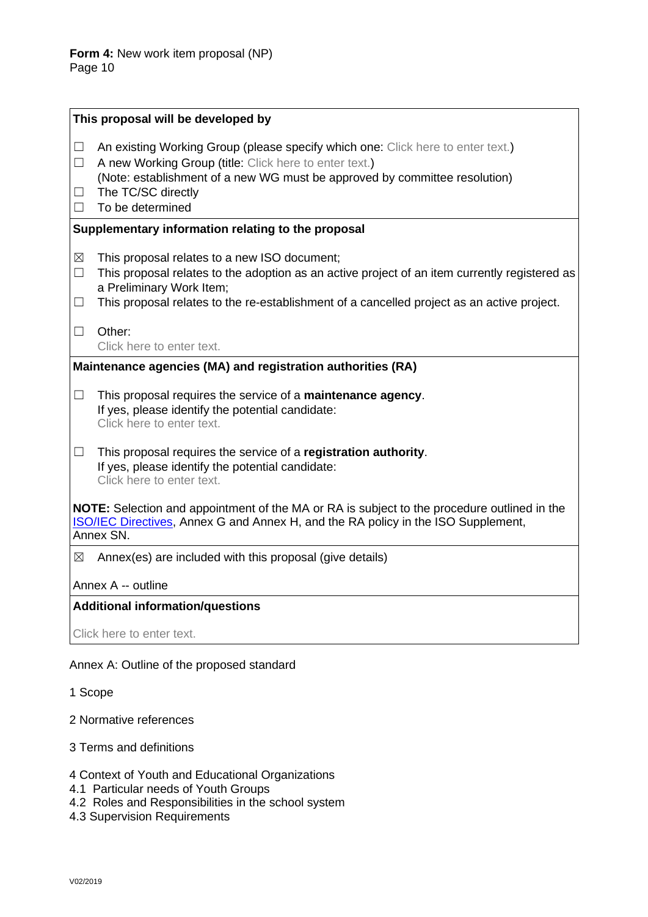|                                                                                                                                                                                                             | This proposal will be developed by                                                                                                                                                                                                                                      |  |  |  |
|-------------------------------------------------------------------------------------------------------------------------------------------------------------------------------------------------------------|-------------------------------------------------------------------------------------------------------------------------------------------------------------------------------------------------------------------------------------------------------------------------|--|--|--|
| ш<br>$\Box$<br>ш<br>$\Box$                                                                                                                                                                                  | An existing Working Group (please specify which one: Click here to enter text.)<br>A new Working Group (title: Click here to enter text.)<br>(Note: establishment of a new WG must be approved by committee resolution)<br>The TC/SC directly<br>To be determined       |  |  |  |
| Supplementary information relating to the proposal                                                                                                                                                          |                                                                                                                                                                                                                                                                         |  |  |  |
| $\boxtimes$<br>$\Box$<br>$\Box$                                                                                                                                                                             | This proposal relates to a new ISO document;<br>This proposal relates to the adoption as an active project of an item currently registered as<br>a Preliminary Work Item;<br>This proposal relates to the re-establishment of a cancelled project as an active project. |  |  |  |
| $\Box$                                                                                                                                                                                                      | Other:<br>Click here to enter text.                                                                                                                                                                                                                                     |  |  |  |
|                                                                                                                                                                                                             | Maintenance agencies (MA) and registration authorities (RA)                                                                                                                                                                                                             |  |  |  |
| $\Box$                                                                                                                                                                                                      | This proposal requires the service of a maintenance agency.<br>If yes, please identify the potential candidate:<br>Click here to enter text.                                                                                                                            |  |  |  |
| $\Box$                                                                                                                                                                                                      | This proposal requires the service of a registration authority.<br>If yes, please identify the potential candidate:<br>Click here to enter text.                                                                                                                        |  |  |  |
| <b>NOTE:</b> Selection and appointment of the MA or RA is subject to the procedure outlined in the<br><b>ISO/IEC Directives, Annex G and Annex H, and the RA policy in the ISO Supplement,</b><br>Annex SN. |                                                                                                                                                                                                                                                                         |  |  |  |
| ⊠                                                                                                                                                                                                           | Annex(es) are included with this proposal (give details)                                                                                                                                                                                                                |  |  |  |
| Annex A -- outline                                                                                                                                                                                          |                                                                                                                                                                                                                                                                         |  |  |  |
| <b>Additional information/questions</b>                                                                                                                                                                     |                                                                                                                                                                                                                                                                         |  |  |  |
|                                                                                                                                                                                                             | Click here to enter text.                                                                                                                                                                                                                                               |  |  |  |

# Annex A: Outline of the proposed standard

- 1 Scope
- 2 Normative references
- 3 Terms and definitions
- 4 Context of Youth and Educational Organizations
- 4.1 Particular needs of Youth Groups
- 4.2 Roles and Responsibilities in the school system
- 4.3 Supervision Requirements